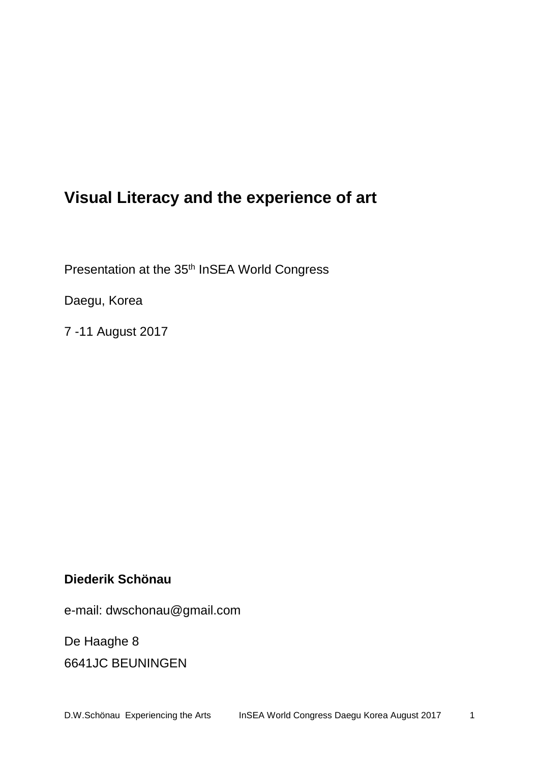# **Visual Literacy and the experience of art**

Presentation at the 35<sup>th</sup> InSEA World Congress

Daegu, Korea

7 -11 August 2017

# **Diederik Schönau**

e-mail: dwschonau@gmail.com

De Haaghe 8

6641JC BEUNINGEN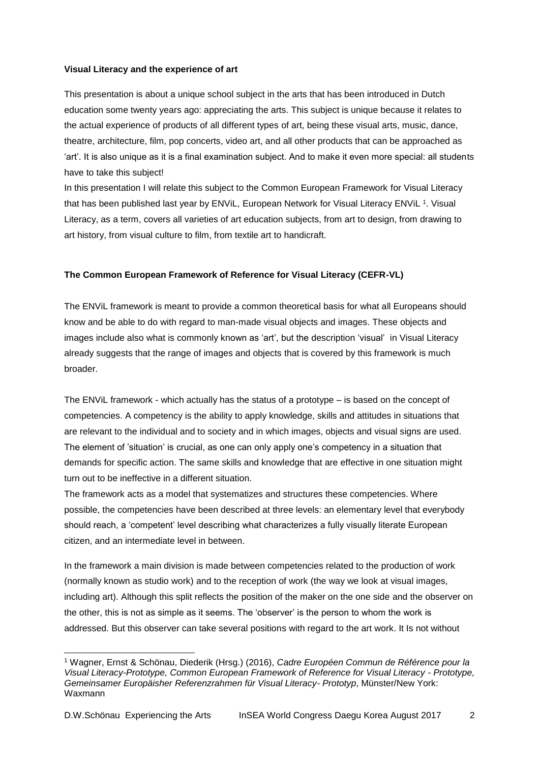### **Visual Literacy and the experience of art**

This presentation is about a unique school subject in the arts that has been introduced in Dutch education some twenty years ago: appreciating the arts. This subject is unique because it relates to the actual experience of products of all different types of art, being these visual arts, music, dance, theatre, architecture, film, pop concerts, video art, and all other products that can be approached as 'art'. It is also unique as it is a final examination subject. And to make it even more special: all students have to take this subject!

In this presentation I will relate this subject to the Common European Framework for Visual Literacy that has been published last year by ENViL, European Network for Visual Literacy ENViL 1. Visual Literacy, as a term, covers all varieties of art education subjects, from art to design, from drawing to art history, from visual culture to film, from textile art to handicraft.

# **The Common European Framework of Reference for Visual Literacy (CEFR-VL)**

The ENViL framework is meant to provide a common theoretical basis for what all Europeans should know and be able to do with regard to man-made visual objects and images. These objects and images include also what is commonly known as 'art', but the description 'visual' in Visual Literacy already suggests that the range of images and objects that is covered by this framework is much broader.

The ENViL framework - which actually has the status of a prototype – is based on the concept of competencies. A competency is the ability to apply knowledge, skills and attitudes in situations that are relevant to the individual and to society and in which images, objects and visual signs are used. The element of 'situation' is crucial, as one can only apply one's competency in a situation that demands for specific action. The same skills and knowledge that are effective in one situation might turn out to be ineffective in a different situation.

The framework acts as a model that systematizes and structures these competencies. Where possible, the competencies have been described at three levels: an elementary level that everybody should reach, a 'competent' level describing what characterizes a fully visually literate European citizen, and an intermediate level in between.

In the framework a main division is made between competencies related to the production of work (normally known as studio work) and to the reception of work (the way we look at visual images, including art). Although this split reflects the position of the maker on the one side and the observer on the other, this is not as simple as it seems. The 'observer' is the person to whom the work is addressed. But this observer can take several positions with regard to the art work. It Is not without

l <sup>1</sup> Wagner, Ernst & Schönau, Diederik (Hrsg.) (2016), *Cadre Européen Commun de Référence pour la Visual Literacy-Prototype, Common European Framework of Reference for Visual Literacy - Prototype, Gemeinsamer Europäisher Referenzrahmen für Visual Literacy- Prototyp*, Münster/New York: Waxmann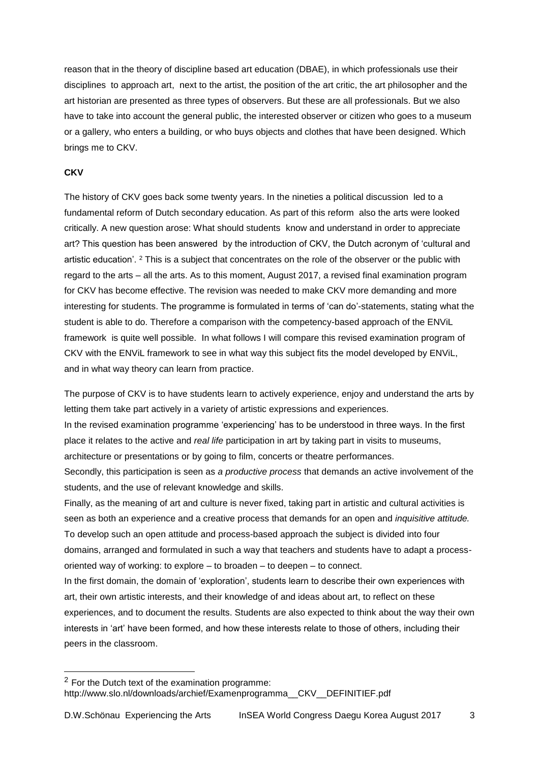reason that in the theory of discipline based art education (DBAE), in which professionals use their disciplines to approach art, next to the artist, the position of the art critic, the art philosopher and the art historian are presented as three types of observers. But these are all professionals. But we also have to take into account the general public, the interested observer or citizen who goes to a museum or a gallery, who enters a building, or who buys objects and clothes that have been designed. Which brings me to CKV.

# **CKV**

l

The history of CKV goes back some twenty years. In the nineties a political discussion led to a fundamental reform of Dutch secondary education. As part of this reform also the arts were looked critically. A new question arose: What should students know and understand in order to appreciate art? This question has been answered by the introduction of CKV, the Dutch acronym of 'cultural and artistic education'. <sup>2</sup> This is a subject that concentrates on the role of the observer or the public with regard to the arts – all the arts. As to this moment, August 2017, a revised final examination program for CKV has become effective. The revision was needed to make CKV more demanding and more interesting for students. The programme is formulated in terms of 'can do'-statements, stating what the student is able to do. Therefore a comparison with the competency-based approach of the ENViL framework is quite well possible. In what follows I will compare this revised examination program of CKV with the ENViL framework to see in what way this subject fits the model developed by ENViL, and in what way theory can learn from practice.

The purpose of CKV is to have students learn to actively experience, enjoy and understand the arts by letting them take part actively in a variety of artistic expressions and experiences.

In the revised examination programme 'experiencing' has to be understood in three ways. In the first place it relates to the active and *real life* participation in art by taking part in visits to museums, architecture or presentations or by going to film, concerts or theatre performances.

Secondly, this participation is seen as *a productive process* that demands an active involvement of the students, and the use of relevant knowledge and skills.

Finally, as the meaning of art and culture is never fixed, taking part in artistic and cultural activities is seen as both an experience and a creative process that demands for an open and *inquisitive attitude.* To develop such an open attitude and process-based approach the subject is divided into four domains, arranged and formulated in such a way that teachers and students have to adapt a processoriented way of working: to explore – to broaden – to deepen – to connect.

In the first domain, the domain of 'exploration', students learn to describe their own experiences with art, their own artistic interests, and their knowledge of and ideas about art, to reflect on these experiences, and to document the results. Students are also expected to think about the way their own interests in 'art' have been formed, and how these interests relate to those of others, including their peers in the classroom.

<sup>2</sup> For the Dutch text of the examination programme: http://www.slo.nl/downloads/archief/Examenprogramma\_\_CKV\_\_DEFINITIEF.pdf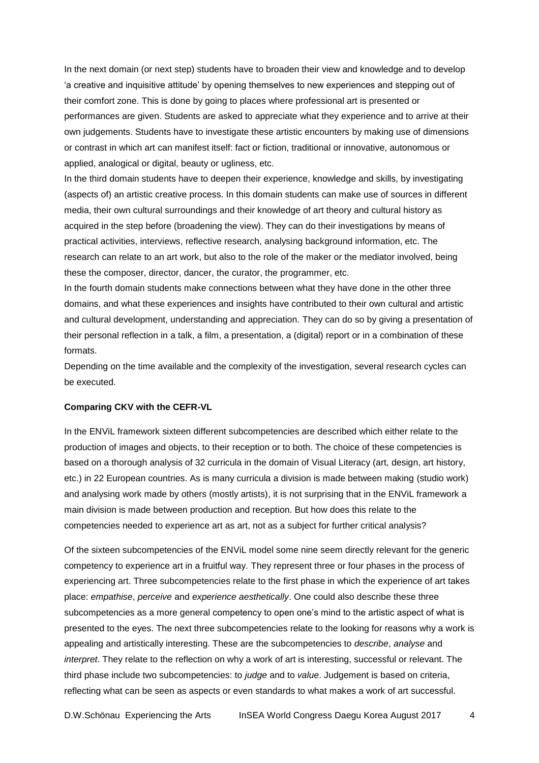In the next domain (or next step) students have to broaden their view and knowledge and to develop 'a creative and inquisitive attitude' by opening themselves to new experiences and stepping out of their comfort zone. This is done by going to places where professional art is presented or performances are given. Students are asked to appreciate what they experience and to arrive at their own judgements. Students have to investigate these artistic encounters by making use of dimensions or contrast in which art can manifest itself: fact or fiction, traditional or innovative, autonomous or applied, analogical or digital, beauty or ugliness, etc.

In the third domain students have to deepen their experience, knowledge and skills, by investigating (aspects of) an artistic creative process. In this domain students can make use of sources in different media, their own cultural surroundings and their knowledge of art theory and cultural history as acquired in the step before (broadening the view). They can do their investigations by means of practical activities, interviews, reflective research, analysing background information, etc. The research can relate to an art work, but also to the role of the maker or the mediator involved, being these the composer, director, dancer, the curator, the programmer, etc.

In the fourth domain students make connections between what they have done in the other three domains, and what these experiences and insights have contributed to their own cultural and artistic and cultural development, understanding and appreciation. They can do so by giving a presentation of their personal reflection in a talk, a film, a presentation, a (digital) report or in a combination of these formats.

Depending on the time available and the complexity of the investigation, several research cycles can be executed.

#### **Comparing CKV with the CEFR-VL**

In the ENViL framework sixteen different subcompetencies are described which either relate to the production of images and objects, to their reception or to both. The choice of these competencies is based on a thorough analysis of 32 curricula in the domain of Visual Literacy (art, design, art history, etc.) in 22 European countries. As is many curricula a division is made between making (studio work) and analysing work made by others (mostly artists), it is not surprising that in the ENViL framework a main division is made between production and reception. But how does this relate to the competencies needed to experience art as art, not as a subject for further critical analysis?

Of the sixteen subcompetencies of the ENViL model some nine seem directly relevant for the generic competency to experience art in a fruitful way. They represent three or four phases in the process of experiencing art. Three subcompetencies relate to the first phase in which the experience of art takes place: *empathise*, *perceive* and *experience aesthetically*. One could also describe these three subcompetencies as a more general competency to open one's mind to the artistic aspect of what is presented to the eyes. The next three subcompetencies relate to the looking for reasons why a work is appealing and artistically interesting. These are the subcompetencies to *describe*, *analyse* and *interpret*. They relate to the reflection on why a work of art is interesting, successful or relevant. The third phase include two subcompetencies: to *judge* and to *value*. Judgement is based on criteria, reflecting what can be seen as aspects or even standards to what makes a work of art successful.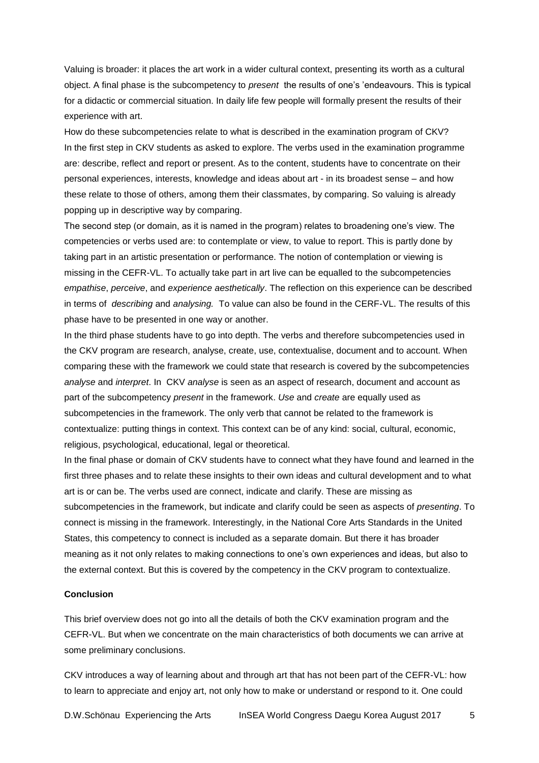Valuing is broader: it places the art work in a wider cultural context, presenting its worth as a cultural object. A final phase is the subcompetency to *present* the results of one's 'endeavours. This is typical for a didactic or commercial situation. In daily life few people will formally present the results of their experience with art.

How do these subcompetencies relate to what is described in the examination program of CKV? In the first step in CKV students as asked to explore. The verbs used in the examination programme are: describe, reflect and report or present. As to the content, students have to concentrate on their personal experiences, interests, knowledge and ideas about art - in its broadest sense – and how these relate to those of others, among them their classmates, by comparing. So valuing is already popping up in descriptive way by comparing.

The second step (or domain, as it is named in the program) relates to broadening one's view. The competencies or verbs used are: to contemplate or view, to value to report. This is partly done by taking part in an artistic presentation or performance. The notion of contemplation or viewing is missing in the CEFR-VL. To actually take part in art live can be equalled to the subcompetencies *empathise*, *perceive*, and *experience aesthetically*. The reflection on this experience can be described in terms of *describing* and *analysing.* To value can also be found in the CERF-VL. The results of this phase have to be presented in one way or another.

In the third phase students have to go into depth. The verbs and therefore subcompetencies used in the CKV program are research, analyse, create, use, contextualise, document and to account. When comparing these with the framework we could state that research is covered by the subcompetencies *analyse* and *interpret*. In CKV *analyse* is seen as an aspect of research, document and account as part of the subcompetency *present* in the framework. *Use* and *create* are equally used as subcompetencies in the framework. The only verb that cannot be related to the framework is contextualize: putting things in context. This context can be of any kind: social, cultural, economic, religious, psychological, educational, legal or theoretical.

In the final phase or domain of CKV students have to connect what they have found and learned in the first three phases and to relate these insights to their own ideas and cultural development and to what art is or can be. The verbs used are connect, indicate and clarify. These are missing as subcompetencies in the framework, but indicate and clarify could be seen as aspects of *presenting*. To connect is missing in the framework. Interestingly, in the National Core Arts Standards in the United States, this competency to connect is included as a separate domain. But there it has broader meaning as it not only relates to making connections to one's own experiences and ideas, but also to the external context. But this is covered by the competency in the CKV program to contextualize.

## **Conclusion**

This brief overview does not go into all the details of both the CKV examination program and the CEFR-VL. But when we concentrate on the main characteristics of both documents we can arrive at some preliminary conclusions.

CKV introduces a way of learning about and through art that has not been part of the CEFR-VL: how to learn to appreciate and enjoy art, not only how to make or understand or respond to it. One could